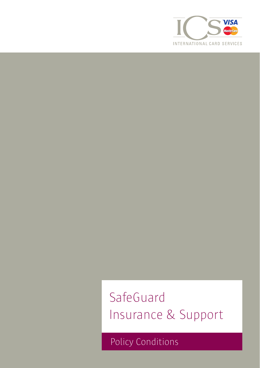

# SafeGuard Insurance & Support

Policy Conditions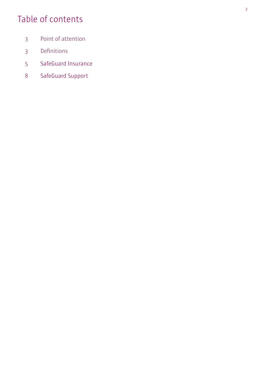# Table of contents

- Point of attention
- Definitions
- SafeGuard Insurance
- SafeGuard Support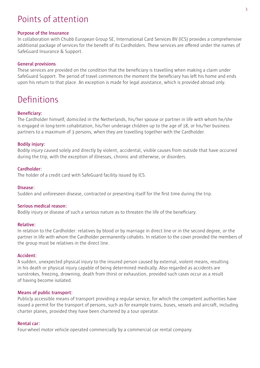# Points of attention

#### **Purpose of the Insurance**

In collaboration with Chubb European Group SE, International Card Services BV (ICS) provides a comprehensive additional package of services for the benefit of its Cardholders. These services are offered under the names of SafeGuard Insurance & Support.

#### **General provisions**

These services are provided on the condition that the beneficiary is travelling when making a claim under SafeGuard Support. The period of travel commences the moment the beneficiary has left his home and ends upon his return to that place. An exception is made for legal assistance, which is provided abroad only.

# Definitions

#### **Beneficiary:**

The Cardholder himself, domiciled in the Netherlands, his/her spouse or partner in life with whom he/she is engaged in long-term cohabitation, his/her underage children up to the age of 18, or his/her business partners to a maximum of 3 persons, when they are travelling together with the Cardholder.

#### **Bodily injury:**

Bodily injury caused solely and directly by violent, accidental, visible causes from outside that have occurred during the trip, with the exception of illnesses, chronic and otherwise, or disorders.

#### **Cardholder:**

The holder of a credit card with SafeGuard facility issued by ICS.

#### **Disease:**

Sudden and unforeseen disease, contracted or presenting itself for the first time during the trip.

#### **Serious medical reason:**

Bodily injury or disease of such a serious nature as to threaten the life of the beneficiary.

#### **Relative:**

In relation to the Cardholder: relatives by blood or by marriage in direct line or in the second degree, or the partner in life with whom the Cardholder permanently cohabits. In relation to the cover provided the members of the group must be relatives in the direct line.

#### **Accident:**

A sudden, unexpected physical injury to the insured person caused by external, violent means, resulting in his death or physical injury capable of being determined medically. Also regarded as accidents are sunstrokes, freezing, drowning, death from thirst or exhaustion, provided such cases occur as a result of having become isolated.

#### **Means of public transport:**

Publicly accessible means of transport providing a regular service, for which the competent authorities have issued a permit for the transport of persons, such as for example trains, buses, vessels and aircraft, including charter planes, provided they have been chartered by a tour operator.

#### **Rental car:**

Four-wheel motor vehicle operated commercially by a commercial car rental company.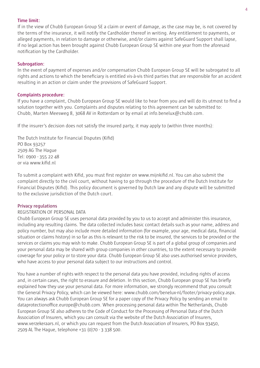#### **Time limit:**

If in the view of Chubb European Group SE a claim or event of damage, as the case may be, is not covered by the terms of the insurance, it will notify the Cardholder thereof in writing. Any entitlement to payments, or alleged payments, in relation to damage or otherwise, and/or claims against SafeGuard Support shall lapse, if no legal action has been brought against Chubb European Group SE within one year from the aforesaid notification by the Cardholder.

#### **Subrogation:**

In the event of payment of expenses and/or compensation Chubb European Group SE will be subrogated to all rights and actions to which the beneficiary is entitled vis-à-vis third parties that are responsible for an accident resulting in an action or claim under the provisions of SafeGuard Support.

#### **Complaints procedure:**

If you have a complaint, Chubb European Group SE would like to hear from you and will do its utmost to find a solution together with you. Complaints and disputes relating to this agreement can be submitted to: Chubb, Marten Meesweg 8, 3068 AV in Rotterdam or by email at info.benelux@chubb.com.

If the insurer's decision does not satisfy the insured party, it may apply to (within three months):

The Dutch Institute for Financial Disputes (Kifid) PO Box 93257 2509 AG The Hague Tel: 0900 - 355 22 48 or via www.kifid.nl

To submit a complaint with Kifid, you must first register on www.mijnkifid.nl. You can also submit the complaint directly to the civil court, without having to go through the procedure of the Dutch Institute for Financial Disputes (Kifid). This policy document is governed by Dutch law and any dispute will be submitted to the exclusive jurisdiction of the Dutch court.

#### **Privacy regulations**

#### REGISTRATION OF PERSONAL DATA

Chubb European Group SE uses personal data provided by you to us to accept and administer this insurance, including any resulting claims. The data collected includes basic contact details such as your name, address and policy number, but may also include more detailed information (for example, your age, medical data, financial situation or claims history) in so far as this is relevant to the risk to be insured, the services to be provided or the services or claims you may wish to make. Chubb European Group SE is part of a global group of companies and your personal data may be shared with group companies in other countries, to the extent necessary to provide coverage for your policy or to store your data. Chubb European Group SE also uses authorised service providers, who have access to your personal data subject to our instructions and control.

You have a number of rights with respect to the personal data you have provided, including rights of access and, in certain cases, the right to erasure and deletion. In this section, Chubb European group SE has briefly explained how they use your personal data. For more information, we strongly recommend that you consult the General Privacy Policy, which can be viewed here: www.chubb.com/benelux-nl/footer/privacy-policy.aspx. You can always ask Chubb European Group SE for a paper copy of the Privacy Policy by sending an email to dataprotectionoffice.europe@chubb.com. When processing personal data within The Netherlands, Chubb European Group SE also adheres to the Code of Conduct for the Processing of Personal Data of the Dutch Association of Insurers, which you can consult via the website of the Dutch Association of Insurers, www.verzekeraars.nl, or which you can request from the Dutch Association of Insurers, PO Box 93450, 2509 AL The Hague, telephone +31 (0)70 - 3 338 500.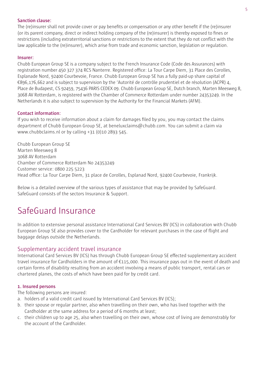#### **Sanction clause:**

The (re)insurer shall not provide cover or pay benefits or compensation or any other benefit if the (re)insurer (or its parent company, direct or indirect holding company of the (re)insurer) is thereby exposed to fines or restrictions (including extraterritorial sanctions or restrictions to the extent that they do not conflict with the law applicable to the (re)insurer), which arise from trade and economic sanction, legislation or regulation.

#### **Insurer:**

Chubb European Group SE is a company subject to the French Insurance Code (Code des Assurances) with registration number 450 327 374 RCS Nanterre. Registered office: La Tour Carpe Diem, 31 Place des Corolles, Esplanade Nord, 92400 Courbevoie, France. Chubb European Group SE has a fully paid-up share capital of €896,176,662 and is subject to supervision by the 'Autorité de contrôle prudentiel et de résolution (ACPR) 4, Place de Budapest, CS 92459, 75436 PARIS CEDEX 09. Chubb European Group SE, Dutch branch, Marten Meesweg 8, 3068 AV Rotterdam, is registered with the Chamber of Commerce Rotterdam under number 24353249. In the Netherlands it is also subject to supervision by the Authority for the Financial Markets (AFM).

#### **Contact information:**

If you wish to receive information about a claim for damages filed by you, you may contact the claims department of Chubb European Group SE, at beneluxclaims@chubb.com. You can submit a claim via www.chubbclaims.nl or by calling +31 (0)10 2893 545.

Chubb European Group SE Marten Meesweg 8 3068 AV Rotterdam Chamber of Commerce Rotterdam No 24353249 Customer service: 0800 225 5223 Head office: La Tour Carpe Diem, 31 place de Corolles, Esplanad Nord, 92400 Courbevoie, Frankrijk.

Below is a detailed overview of the various types of assistance that may be provided by SafeGuard. SafeGuard consists of the sectors Insurance & Support.

# SafeGuard Insurance

In addition to extensive personal assistance International Card Services BV (ICS) in collaboration with Chubb European Group SE also provides cover to the Cardholder for relevant purchases in the case of flight and baggage delays outside the Netherlands.

# Supplementary accident travel insurance

International Card Services BV (ICS) has through Chubb European Group SE effected supplementary accident travel insurance for Cardholders in the amount of €115,000. This insurance pays out in the event of death and certain forms of disability resulting from an accident involving a means of public transport, rental cars or chartered planes, the costs of which have been paid for by credit card.

#### **1. Insured persons**

The following persons are insured:

- a. holders of a valid credit card issued by International Card Services BV (ICS);
- b. their spouse or regular partner, also when travelling on their own, who has lived together with the Cardholder at the same address for a period of 6 months at least;
- c. their children up to age 25, also when travelling on their own, whose cost of living are demonstrably for the account of the Cardholder.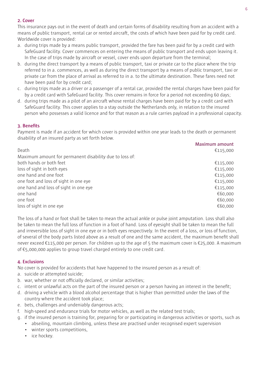# **2. Cover**

This insurance pays out in the event of death and certain forms of disability resulting from an accident with a means of public transport, rental car or rented aircraft, the costs of which have been paid for by credit card. Worldwide cover is provided:

- a. during trips made by a means public transport, provided the fare has been paid for by a credit card with SafeGuard facility. Cover commences on entering the means of public transport and ends upon leaving it. In the case of trips made by aircraft or vessel, cover ends upon departure from the terminal;
- b. during the direct transport by a means of public transport, taxi or private car to the place where the trip referred to in a. commences, as well as during the direct transport by a means of public transport, taxi or private car from the place of arrival as referred to in a. to the ultimate destination. These fares need not have been paid for by credit card;
- c. during trips made as a driver or a passenger of a rental car, provided the rental charges have been paid for by a credit card with SafeGuard facility. This cover remains in force for a period not exceeding 60 days;
- d. during trips made as a pilot of an aircraft whose rental charges have been paid for by a credit card with SafeGuard facility. This cover applies to a stay outside the Netherlands only, in relation to the insured person who possesses a valid licence and for that reason as a rule carries payload in a professional capacity.

# **3. Benefits**

Payment is made if an accident for which cover is provided within one year leads to the death or permanent disability of an insured party as set forth below.

|                                                         | Maximum amount |
|---------------------------------------------------------|----------------|
| Death                                                   | €115,000       |
| Maximum amount for permanent disability due to loss of: |                |
| both hands or both feet                                 | €115,000       |
| loss of sight in both eyes                              | €115,000       |
| one hand and one foot                                   | €115,000       |
| one foot and loss of sight in one eye                   | €115,000       |
| one hand and loss of sight in one eye                   | €115,000       |
| one hand                                                | €60,000        |
| one foot                                                | €60,000        |
| loss of sight in one eye                                | €60,000        |

The loss of a hand or foot shall be taken to mean the actual ankle or pulse joint amputation. Loss shall also be taken to mean the full loss of function in a foot of hand. Loss of eyesight shall be taken to mean the full and irreversible loss of sight in one eye or in both eyes respectively. In the event of a loss, or loss of function, of several of the body parts listed above as a result of one and the same accident, the maximum benefit shall never exceed €115,000 per person. For children up to the age of 5 the maximum cover is €25,000. A maximum of €5,000,000 applies to group travel charged entirely to one credit card.

# **4. Exclusions**

No cover is provided for accidents that have happened to the insured person as a result of:

- a. suicide or attempted suicide;
- b. war, whether or not officially declared, or similar activities;
- c. intent or unlawful acts on the part of the insured person or a person having an interest in the benefit;
- d. driving a vehicle with a blood alcohol percentage that is higher than permitted under the laws of the country where the accident took place;
- e. bets, challenges and undeniably dangerous acts;
- f. high-speed and endurance trials for motor vehicles, as well as the related test trials;
- g. if the insured person is training for, preparing for or participating in dangerous activities or sports, such as
	- abseiling, mountain climbing, unless these are practised under recognised expert supervision
	- winter sports competitions,
	- ice hockey.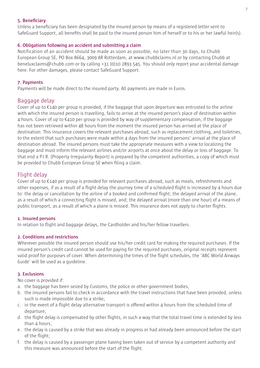### **5. Beneficiary**

Unless a beneficiary has been designated by the insured person by means of a registered letter sent to SafeGuard Support, all benefits shall be paid to the insured person him of herself or to his or her lawful heir(s).

# **6. Obligations following an accident and submitting a claim**

Notification of an accident should be made as soon as possible, no later than 30 days, to Chubb European Group SE, PO Box 8664, 3009 AR Rotterdam, at www.chubbclaims.nl or by contacting Chubb at beneluxclaims@chubb.com or by calling +31 (0)10 2893 545. You should only report your accidental damage here. For other damages, please contact SafeGuard Support.

# **7. Payments**

Payments will be made direct to the insured party. All payments are made in Euros.

# Baggage delay

Cover of up to  $\epsilon$ 140 per group is provided, if the baggage that upon departure was entrusted to the airline with which the insured person is travelling, fails to arrive at the insured person's place of destination within 4 hours. Cover of up to €410 per group is provided by way of supplementary compensation, if the baggage has not been retrieved within 48 hours from the moment the insured person has arrived at the place of destination. This insurance covers the relevant purchases abroad, such as replacement clothing, and toiletries, to the extent that such purchases were made within 4 days from the insured persons' arrival at the place of destination abroad. The insured persons must take the appropriate measures with a view to localizing the baggage and must inform the relevant airlines and/or airports at once about the delay or loss of baggage. To that end a P.I.R. (Property Irregularity Report) is prepared by the competent authorities, a copy of which must be provided to Chubb European Group SE when filing a claim.

# Flight delay

Cover of up to €140 per group is provided for relevant purchases abroad, such as meals, refreshments and other expenses, if as a result of a flight delay the journey time of a scheduled flight is increased by 4 hours due to: the delay or cancellation by the airline of a booked and confirmed flight; the delayed arrival of the plane, as a result of which a connecting flight is missed, and; the delayed arrival (more than one hour) of a means of public transport, as a result of which a plane is missed. This insurance does not apply to charter flights.

# **1. Insured persons**

In relation to flight and baggage delays, the Cardholder and his/her fellow travellers.

# **2. Conditions and restrictions**

Wherever possible the insured person should use his/her credit card for making the required purchases. If the insured person's credit card cannot be used for paying for the required purchases, original receipts represent valid proof for purposes of cover. When determining the times of the flight schedules, the 'ABC World Airways Guide' will be used as a guideline.

# **3. Exclusions**

No cover is provided if:

- a. the baggage has been seized by Customs, the police or other government bodies;
- b. the insured persons fail to check in accordance with the travel instructions that have been provided, unless such is made impossible due to a strike;
- c. in the event of a flight delay alternative transport is offered within 4 hours from the scheduled time of departure;
- d. the flight delay is compensated by other flights, in such a way that the total travel time is extended by less than 4 hours;
- e. the delay is caused by a strike that was already in progress or had already been announced before the start of the flight;
- f. the delay is caused by a passenger plane having been taken out of service by a competent authority and this measure was announced before the start of the flight.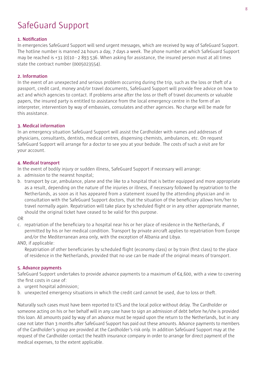# SafeGuard Support

### **1. Notification**

In emergencies SafeGuard Support will send urgent messages, which are received by way of SafeGuard Support. The hotline number is manned 24 hours a day, 7 days a week. The phone number at which SafeGuard Support may be reached is +31 (0)10 - 2 893 536. When asking for assistance, the insured person must at all times state the contract number (0005023554).

### **2. Information**

In the event of an unexpected and serious problem occurring during the trip, such as the loss or theft of a passport, credit card, money and/or travel documents, SafeGuard Support will provide free advice on how to act and which agencies to contact. If problems arise after the loss or theft of travel documents or valuable papers, the insured party is entitled to assistance from the local emergency centre in the form of an interpreter, intervention by way of embassies, consulates and other agencies. No charge will be made for this assistance.

# **3. Medical information**

In an emergency situation SafeGuard Support will assist the Cardholder with names and addresses of physicians, consultants, dentists, medical centres, dispensing chemists, ambulances, etc. On request SafeGuard Support will arrange for a doctor to see you at your bedside. The costs of such a visit are for your account.

#### **4. Medical transport**

In the event of bodily injury or sudden illness, SafeGuard Support if necessary will arrange:

- a. admission to the nearest hospital;
- b. transport by car, ambulance, plane and the like to a hospital that is better equipped and more appropriate as a result, depending on the nature of the injuries or illness, if necessary followed by repatriation to the Netherlands, as soon as it has appeared from a statement issued by the attending physician and in consultation with the SafeGuard Support doctors, that the situation of the beneficiary allows him/her to travel normally again. Repatriation will take place by scheduled flight or in any other appropriate manner, should the original ticket have ceased to be valid for this purpose.

#### OR

c. repatriation of the beneficiary to a hospital near his or her place of residence in the Netherlands, if permitted by his or her medical condition. Transport by private aircraft applies to repatriation from Europe and/or the Mediterranean area only, with the exception of Albania and Libya.

AND, if applicable:

Repatriation of other beneficiaries by scheduled flight (economy class) or by train (first class) to the place of residence in the Netherlands, provided that no use can be made of the original means of transport.

#### **5. Advance payments**

SafeGuard Support undertakes to provide advance payments to a maximum of  $\epsilon_4$ ,600, with a view to covering the first costs in case of:

- a. urgent hospital admission;
- b. unexpected emergency situations in which the credit card cannot be used, due to loss or theft.

Naturally such cases must have been reported to ICS and the local police without delay. The Cardholder or someone acting on his or her behalf will in any case have to sign an admission of debt before he/she is provided this loan. All amounts paid by way of an advance must be repaid upon the return to the Netherlands, but in any case not later than 3 months after SafeGuard Support has paid out these amounts. Advance payments to members of the Cardholder's group are provided at the Cardholder's risk only. In addition SafeGuard Support may at the request of the Cardholder contact the health insurance company in order to arrange for direct payment of the medical expenses, to the extent applicable.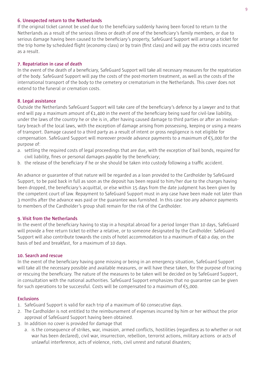#### **6. Unexpected return to the Netherlands**

If the original ticket cannot be used due to the beneficiary suddenly having been forced to return to the Netherlands as a result of the serious illness or death of one of the beneficiary's family members, or due to serious damage having been caused to the beneficiary's property, SafeGuard Support will arrange a ticket for the trip home by scheduled flight (economy class) or by train (first class) and will pay the extra costs incurred as a result.

#### **7. Repatriation in case of death**

In the event of the death of a beneficiary, SafeGuard Support will take all necessary measures for the repatriation of the body. SafeGuard Support will pay the costs of the post-mortem treatment, as well as the costs of the international transport of the body to the cemetery or crematorium in the Netherlands. This cover does not extend to the funeral or cremation costs.

#### **8. Legal assistance**

Outside the Netherlands SafeGuard Support will take care of the beneficiary's defence by a lawyer and to that end will pay a maximum amount of  $\epsilon$ 1,400 in the event of the beneficiary being sued for civil-law liability, under the laws of the country he or she is in, after having caused damage to third parties or after an involuntary breach of the local laws, with the exception of damage arising from possessing, keeping or using a means of transport. Damage caused to a third party as a result of intent or gross negligence is not eligible for compensation. SafeGuard Support will moreover provide advance payments to a maximum of €5,000 for the purpose of:

- a. settling the required costs of legal proceedings that are due, with the exception of bail bonds, required for civil liability, fines or personal damages payable by the beneficiary;
- b. the release of the beneficiary if he or she should be taken into custody following a traffic accident.

An advance or guarantee of that nature will be regarded as a loan provided to the Cardholder by SafeGuard Support, to be paid back in full as soon as the deposit has been repaid to him/her due to the charges having been dropped, the beneficiary's acquittal, or else within 15 days from the date judgment has been given by the competent court of law. Repayment to SafeGuard Support must in any case have been made not later than 3 months after the advance was paid or the guarantee was furnished. In this case too any advance payments to members of the Cardholder's group shall remain for the risk of the Cardholder.

#### **9. Visit from the Netherlands**

In the event of the beneficiary having to stay in a hospital abroad for a period longer than 10 days, SafeGuard will provide a free return ticket to either a relative, or to someone designated by the Cardholder. SafeGuard Support will also contribute towards the costs of hotel accommodation to a maximum of €40 a day, on the basis of bed and breakfast, for a maximum of 10 days.

#### **10. Search and rescue**

In the event of the beneficiary having gone missing or being in an emergency situation, SafeGuard Support will take all the necessary possible and available measures, or will have these taken, for the purpose of tracing or rescuing the beneficiary. The nature of the measures to be taken will be decided on by SafeGuard Support, in consultation with the national authorities. SafeGuard Support emphasizes that no guarantee can be given for such operations to be successful. Costs will be compensated to a maximum of  $\epsilon_{5,000}$ .

### **Exclusions**

- 1. SafeGuard Support is valid for each trip of a maximum of 60 consecutive days.
- 2. The Cardholder is not entitled to the reimbursement of expenses incurred by him or her without the prior approval of SafeGuard Support having been obtained.
- 3. In addition no cover is provided for damage that
	- a. is the consequence of strikes, war, invasion, armed conflicts, hostilities (regardless as to whether or not war has been declared), civil war, insurrection, rebellion, terrorist actions, military actions or acts of unlawful interference, acts of violence, riots, civil unrest and natural disasters;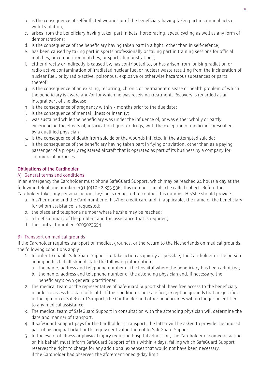- b. is the consequence of self-inflicted wounds or of the beneficiary having taken part in criminal acts or wilful violation:
- c. arises from the beneficiary having taken part in bets, horse-racing, speed cycling as well as any form of demonstrations;
- d. is the consequence of the beneficiary having taken part in a fight, other than in self-defence;
- e. has been caused by taking part in sports professionally or taking part in training sessions for official matches, or competition matches, or sports demonstrations;
- f. either directly or indirectly is caused by, has contributed to, or has arisen from ionising radiation or radio-active contamination of irradiated nuclear fuel or nuclear waste resulting from the incineration of nuclear fuel, or by radio-active, poisonous, explosive or otherwise hazardous substances or parts thereof;
- g. is the consequence of an existing, recurring, chronic or permanent disease or health problem of which the beneficiary is aware and/or for which he was receiving treatment. Recovery is regarded as an integral part of the disease;
- h. is the consequence of pregnancy within 3 months prior to the due date;
- i. is the consequence of mental illness or insanity;
- j. was sustained while the beneficiary was under the influence of, or was either wholly or partly experiencing the effects of, intoxicating liquor or drugs, with the exception of medicines prescribed by a qualified physician;
- k. is the consequence of death from suicide or the wounds inflicted in the attempted suicide;
- l. is the consequence of the beneficiary having taken part in flying or aviation, other than as a paying passenger of a properly registered aircraft that is operated as part of its business by a company for commercial purposes.

# **Obligations of the Cardholder**

# A) General terms and conditions

In an emergency the Cardholder must phone SafeGuard Support, which may be reached 24 hours a day at the following telephone number: +31 (0)10 - 2 893 536. This number can also be called collect. Before the Cardholder takes any personal action, he/she is requested to contact this number. He/she should provide:

- a. his/her name and the Card number of his/her credit card and, if applicable, the name of the beneficiary for whom assistance is requested;
- b. the place and telephone number where he/she may be reached;
- c. a brief summary of the problem and the assistance that is required;
- d. the contract number: 0005023554.

# B) Transport on medical grounds

If the Cardholder requires transport on medical grounds, or the return to the Netherlands on medical grounds, the following conditions apply:

- 1. In order to enable SafeGuard Support to take action as quickly as possible, the Cardholder or the person acting on his behalf should state the following information:
	- a. the name, address and telephone number of the hospital where the beneficiary has been admitted;
	- b. the name, address and telephone number of the attending physician and, if necessary, the beneficiary's own general practitioner.
- 2. The medical team or the representative of SafeGuard Support shall have free access to the beneficiary in order to assess his state of health. If this condition is not satisfied, except on grounds that are justified in the opinion of SafeGuard Support, the Cardholder and other beneficiaries will no longer be entitled to any medical assistance.
- 3. The medical team of SafeGuard Support in consultation with the attending physician will determine the date and manner of transport.
- 4. If SafeGuard Support pays for the Cardholder's transport, the latter will be asked to provide the unused part of his original ticket or the equivalent value thereof to SafeGuard Support.
- 5. In the event of illness or physical injury requiring hospital admission, the Cardholder or someone acting on his behalf, must inform SafeGuard Support of this within 3 days, failing which SafeGuard Support reserves the right to charge for any additional expenses that would not have been necessary, if the Cardholder had observed the aforementioned 3-day limit.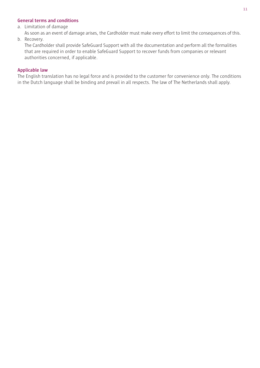# **General terms and conditions**

a. Limitation of damage

As soon as an event of damage arises, the Cardholder must make every effort to limit the consequences of this.

### b. Recovery.

The Cardholder shall provide SafeGuard Support with all the documentation and perform all the formalities that are required in order to enable SafeGuard Support to recover funds from companies or relevant authorities concerned, if applicable.

#### **Applicable law**

The English translation has no legal force and is provided to the customer for convenience only. The conditions in the Dutch language shall be binding and prevail in all respects. The law of The Netherlands shall apply.